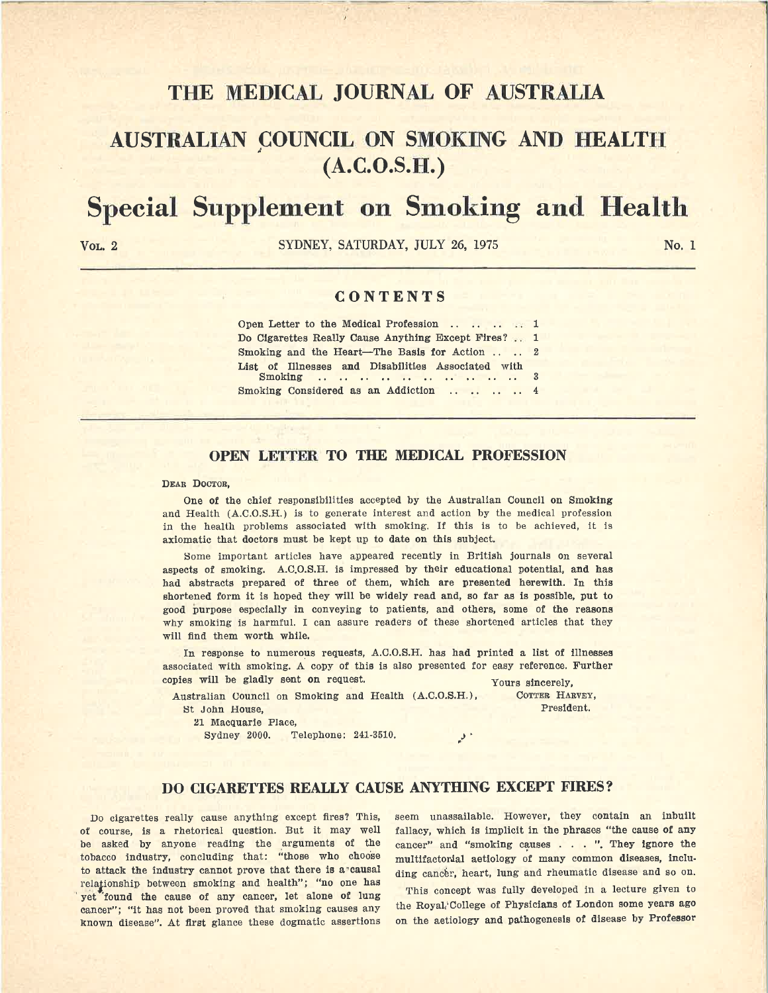## **Tl-IE MEDICAL JOURNAL OF AUSTRALIA**

## **AUSTRALIAN ~OUNCIL ON SMOICING AND HEALTH (A.C.O.S.H.)**

# **Special Supplement on Smoking and Health**

VOL, 2 SYDNEY, SATURDAY, JULY 26, 1975

No. 1

### **CONTENTS**

| Open Letter to the Medical Profession 1                        |  |
|----------------------------------------------------------------|--|
| Do Cigarettes Really Cause Anything Except Fires?  1           |  |
| Smoking and the Heart-The Basis for Action $\ldots$ $\ldots$ 2 |  |
| List of Illnesses and Disabilities Associated with             |  |
| Smoking Considered as an Addiction 4                           |  |

### **OPEN LEITER TO THE MEDICAL PROFESSION**

### DEAR DOCTOR,

One of the chief responsibilities accepted by the Australian Council on Smoking and Health (A.C.O.S.H.) is to generate interest and action by the medical profession in the health problems associated with smoking. If this is to be achieved, it is axiomatic that doctors must be kept up to date on this subject.

Some important articles have appeared recently in British journals on several aspects of smoking. A.C.O.S.H. is impressed by their educational potential, and has had abstracts prepared of three of them, which are presented herewith. In this shortened form it is hoped they will be widely read and, so far as is possible, put to good purpose especially in conveying to patients, and others, some of the reasons why smoking is harmful. I can assure readers of these shortened articles that they will find them worth while.

In response to numerous requests, A.C.O.S.H. has had printed a list of illnesses associated with smoking. A copy of this is also presented for easy reference. Further copies will be gladly sent on request. Yours sincerely,

Australian Uouncil on Smoking and Health (A.C.O.S.H.), St John House,

21 Macquarie Place,

Sydney 2000. Telephone: 241-3510.

COTTER HARVEY, President.

### **DO CIGARETTES REALLY CAUSE ANYTHING EXCEPT FIRES?**

ا في

Do cigarettes really cause anything except fires? This, of course, is a rhetorical question. But it may well be asked by anyone reading the arguments of the tobacco industry, concluding that: "those who choose to attack the industry cannot prove that there is a causal relationship between smoking and health"; "no one has yet found the cause of any cancer, let alone of lung cancer"; "it has not been proved that smoking causes any known disease". At first glance these dogmatic assertions seem unassailable. However, they contain an inbuilt fallacy, which is implicit in the phrases "the cause of any cancer" and "smoking causes . . . ". They ignore the multifactorial aetiology of many common diseases, including cancer, heart, lung and rheumatic disease and so on.

This concept was fully developed in a lecture given to the Royal,'College of Physicians of London some years ago on the aetiology and pathogenesis of disease by Professor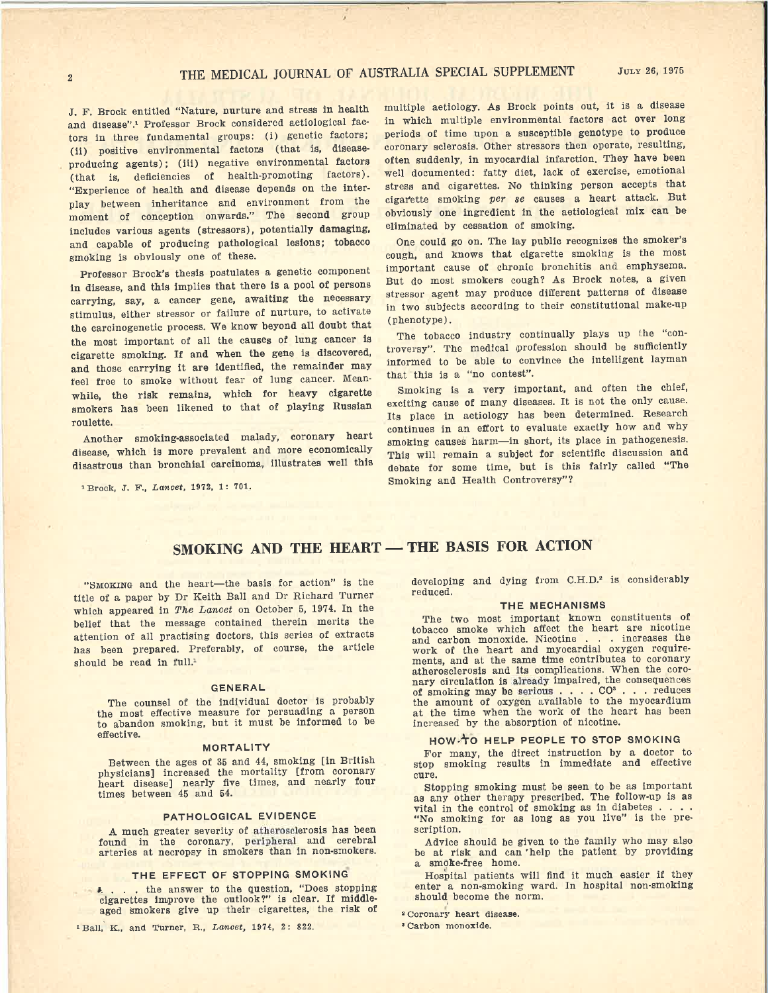J. F. Brock entitled "Nature, nurture and stress in health and disease".1 Professor Brock considered aetiological factors in three fundamental groups: (i) genetic factors; (ii) positive environmental factors (that is, diseaseproducing agents); (iii) negative environmental factors (that is, deficiencies of health-promoting factors). "Experience of health and disease depends on the inter<sup>p</sup>lay between inheritance and environment from the moment of conception onwards." The second group includes various agents (stressors), potentially damaging, and capable of producing pathological lesions; tobacco smoking is obviously one of these.

Professor Brock's thesis postulates a genetic componen<sup>t</sup> in disease, and this implies that there is a pool of persons carrying, say, a cancer gene, awaiting the necessary stimulus, either stressor or failure of nurture, to activate the carcinogenetic process. We know beyond all doubt that the most important of all the causes of lung cancer ls cigarette smoking. If and when the gene is discovered, and those carrying it are identified, the remainder may feel free to smoke without fear of lung cancer. Meanwhile, the risk remains, which for heavy cigarette smokers has been likened to that of playing Russian roulette.

Another smoking-associated malady, coronary heart disease, which is more prevalent and more economically disastrous than bronchial carcinoma, illustrates well this

<sup>1</sup>Brock, J. F., *Lancet,* 1972, 1: 701.

multiple aetiology. As Brock points out, it is a disease in which multiple environmental factors act over long periods of time upon a susceptible genotype to produce coronary sclerosis. Other stressors then operate, resulting, often suddenly, in myocardial infarction. They have been well documented: fatty diet, lack of exercise, emotional stress and cigarettes. No thinking person accepts that cigarette smoking *per se* causes a heart attack. But obviously one ingredient in the aetiological mix can be eliminated by cessation of smoking.

One could go on. The lay public recognizes the smoker's cough, and knows that cigarette smoking is the most important cause of chronic bronchitis and emphysema. But do most smokers cough? As Brock notes, a given stressor agent may produce different patterns of disease in two subjects according to their constitutional make-up (phenotype).

The tobacco industry continually plays up the "controversy". The medical profession should be sufficiently informed to be able to convince the intelligent layman that this is a "no contest".

Smoking is a very important, and often the chief, exciting cause of many diseases. It is not the only cause. Its place in aetiology has been determined. Research continues in an effort to evaluate exactly how and why smoking causes harm-in short, its place in pathogenesis. This will remain a subject for scientific discussion and debate for some time, but is this fairly called "The Smoking and Health Controversy"?

### **SMOKING AND THE HEART - THE BASIS FOR ACTION**

"SMOKING and the heart-the basis for action" is the title of a paper by Dr Keith Ball and Dr Richard Turner which appeared in The Lancet on October 5, 1974. In the belief that the message contained therein merits the attention of all practising doctors, this series of extracts has been prepared. Preferably, of course, the article should be read in full.<sup>1</sup>

#### **GENERAL**

The counsel of the individual doctor is probably the most effective measure for persuading a person to abandon smoking, but it must be informed to be effective.

#### **MORTALITY**

Between the ages of 35 and 44, smoking [in British <sup>p</sup>hysicians] increased the mortality [from coronary heart disease] nearly five times, and nearly four times between 45 and 54.

### **PATHOLOGICAL EVIDENCE**

**<sup>A</sup>**much greater severity of atherosclerosis has been found in the coronary, peripheral and cerebral arteries at necropsy in smokers than in non-smokers.

### **THE EFFECT OF STOPPING SMOKING**

. the answer to the question, "Does stopping cigarettes Improve the outlook?" is clear. If **middle**aged smokers give up their cigarettes, the risk of

<sup>1</sup>Ball, K., and Turner, R., *Lancet,* 1974, 2: 822.

developing and dying from C.H.D.<sup>2</sup> is considerably reduced.

#### THE **MECHANISMS**

The two most important known constituents of tobacco smoke which affect the heart are nicotine and carbon monoxide. Nicotine . . . increases the work of the heart and myocardial oxygen requirements, and at the same time contributes to coronary atherosclerosis and its complications. When the coro nary circulation is already impaired, the consequences of smoking may be serious . . . . CO<sup>3</sup> . . . reduces the amount of oxygen available to the myocardium at the time when the work of the heart has been increased by the absorption of nicotine.

### HOW•'TO HELP PEOPLE TO STOP SMOKING

For many, the direct instruction by a doctor to stop smoking results in immediate and effective cure.

Stopping smoking must be seen to be as important as any other therapy prescribed. The follow-up is as vital in the control of smoking as in diabetes . . "No smoking for as long as you live" is the prescription.

Advice should be given to the family who may also be at risk and can 'help the patient by providing a smoke-free home.

Hospital patients will find it much easier if they enter a non-smoking ward. In hospital non-smoking should become the norm.

• Coronary heart disease.

• Carbon monoxide.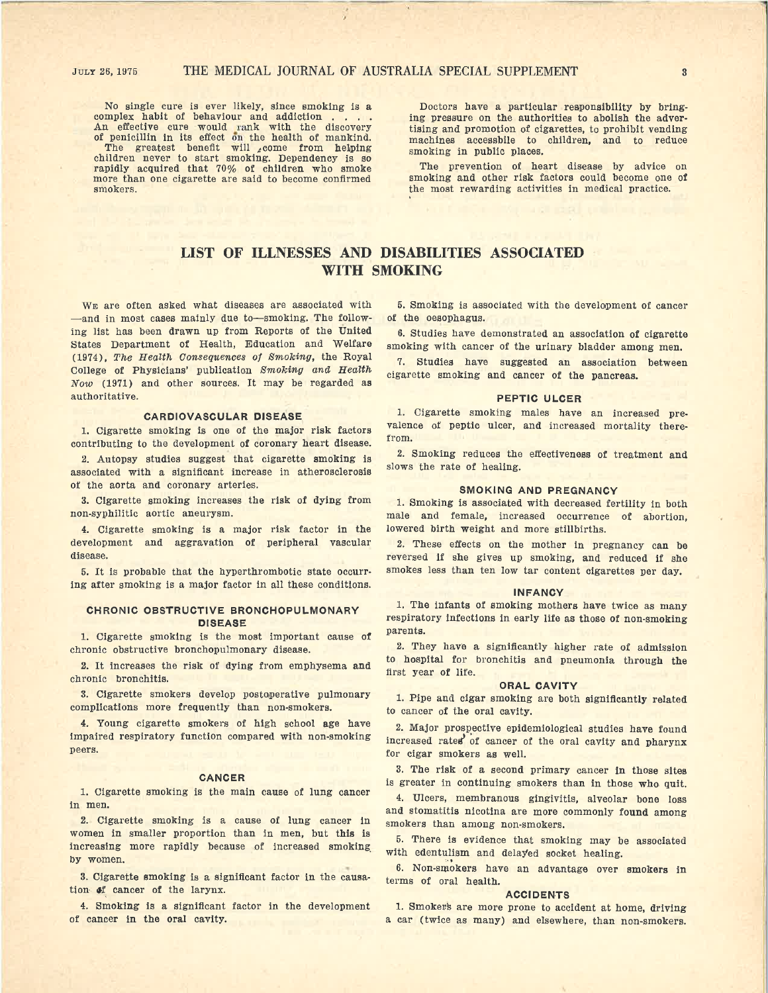No single cure is ever likely, since smoking is a complex habit of behaviour and addiction . . . . An effective cure would rank with the discovery of penicillin in its effect on the health of mankind. The greatest benefit will  $\phi$  come from helping children never to start smoking. Dependency is so rapidly acquired that 70% of children who smoke more than one cigarette are said to become confirmed smokers.

Doctors have a particular responsibility by bringing pressure on the authorities to abolish the advertising and promotion of cigarettes, to prohibit vending machines accessbile to children, and to reduce smoking in public places.

The prevention of heart disease by advice on smoking and other risk factors could become one of the most rewarding activities in medical practice.

### **LIST OF ILLNESSES AND DISABILITIES ASSOCIATED WITH SMOKING**

WE are often asked what diseases are associated with -and in most cases mainly due to-smoking. The following list has been drawn up from Reports of the United States Department of Health, Education and Welfare (1974), The Health Consequences of Smoking, the Royal College of Physicians' publication Smoking and Health Now ( 1971) and other sources. It may be regarded as authoritative.

#### **CARDIOVASCULAR DISEASE**

1. Cigarette smoking is one of the major risk factors contributing to the development of coronary heart disease.

2. Autopsy studies suggest that cigarette smoking is associated with a significant increase in atherosclerosis of the aorta and coronary arteries.

3. Cigarette smoking increases the risk of dying from non-syphilitic aortic aneurysm.

4. Cigarette smoking is a major risk factor in the development and aggravation of peripheral vascular disease.

5. It is probable that the hyperthrombotic state occurring after smoking is a major factor in all these conditions.

### **CHRONIC OBSTRUCTIVE BRONCHOPULMONARY DISEASE**

1. Cigarette smoking is the most important cause **of**  chronic obstructive bronchopulmonary disease.

**2.** It increases the risk of dying from emphysema and chronic bronchitis.

3. Cigarette smokers develop postoperative pulmonary complications more frequently than non-smokers.

4. Young cigarette smokers of high school age have impaired respiratory function compared with non-smoking peers.

### **CANCER**

1. Cigarette smoking is the main cause of lung cancer in men.

2. Cigarette smoking is a cause of lung cancer in women in smaller proportion than in men, but this is increasing more rapidly because of increased smoking by women.

3. Cigarette smoking is a significant factor in the causation of cancer of the larynx.

4. Smoking is a significant factor in the development of cancer in the oral cavity.

5. Smoking is associated with the development of cancer of the oesophagus.

6. Studies have demonstrated an association of cigarette smoking with cancer of the urinary bladder among men.

7. Studies have suggested an association between cigarette smoking and cancer of the pancreas.

### **PEPTIC ULCER**

1. Cigarette smoking males have an increased prevalence of peptic ulcer, and increased mortality therefrom.

2. Smoking reduces the effectiveness of treatment and slows the rate of healing.

### **SMOKING AND PREGNANCY**

1. Smoking is associated with decreased fertility in both male and female, increased occurrence of abortion, lowered birth weight and more stillbirths.

2. These effects on the mother in pregnancy can be reversed if she gives up smoking, and reduced if she smokes less than ten low tar content cigarettes per day.

#### **INFANCY**

1. The infants of smoking mothers have twice as many respiratory infections in early life as those of non-smoking parents.

2. They have a significantly higher rate of admission to hospital for bronchitis and pneumonia through the first year of life.

#### **ORAL CAVITY**

1. Pipe and cigar smoking are both significantly related to cancer of the oral cavity.

2. Major prospective epidemiological studies have found increased rates of cancer of the oral cavity and pharynx for cigar smokers as well.

3. The risk of a second primary cancer in those sites is greater in continuing smokers than in those who quit.

4. Ulcers, membranous gingivitis, alveolar bone loss and stomatitis nicotina are more commonly found among smokers than among non-smokers.

5. There is evidence that smoking may be associated with edentulism and delayed socket healing.

6. Non-smokers have an advantage over **smokers** in terms of oral health.

### **ACCIDENTS**

1. Smoker's are more prone to accident at home, driving a car (twice as many) and elsewhere, than non-smokers.